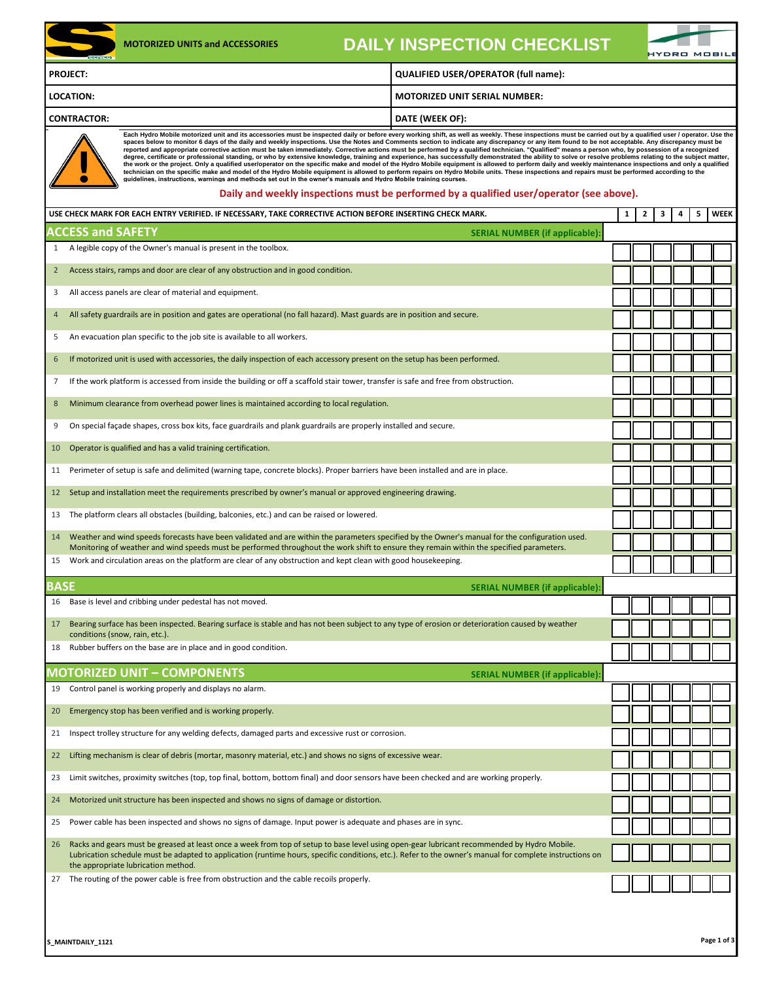|                             | <b>MOTORIZED UNITS and ACCESSORIES</b><br><b>SERIES</b>                                                                                                                                                                                                                                                                                        | <b>DAILY INSPECTION CHECKLIST</b>                                                                                                                                                                                                                                                                                                                                                                                                                                                                                                                                                                                                                                                                                                                                                                                                                                                                                                                                                                                                                                                                                                                                                                                                                                                                                                                  |              |              |   | <b>IYDRO MOBILI</b> |   |             |
|-----------------------------|------------------------------------------------------------------------------------------------------------------------------------------------------------------------------------------------------------------------------------------------------------------------------------------------------------------------------------------------|----------------------------------------------------------------------------------------------------------------------------------------------------------------------------------------------------------------------------------------------------------------------------------------------------------------------------------------------------------------------------------------------------------------------------------------------------------------------------------------------------------------------------------------------------------------------------------------------------------------------------------------------------------------------------------------------------------------------------------------------------------------------------------------------------------------------------------------------------------------------------------------------------------------------------------------------------------------------------------------------------------------------------------------------------------------------------------------------------------------------------------------------------------------------------------------------------------------------------------------------------------------------------------------------------------------------------------------------------|--------------|--------------|---|---------------------|---|-------------|
|                             | <b>PROJECT:</b>                                                                                                                                                                                                                                                                                                                                | <b>QUALIFIED USER/OPERATOR (full name):</b>                                                                                                                                                                                                                                                                                                                                                                                                                                                                                                                                                                                                                                                                                                                                                                                                                                                                                                                                                                                                                                                                                                                                                                                                                                                                                                        |              |              |   |                     |   |             |
|                             | <b>LOCATION:</b>                                                                                                                                                                                                                                                                                                                               | <b>MOTORIZED UNIT SERIAL NUMBER:</b>                                                                                                                                                                                                                                                                                                                                                                                                                                                                                                                                                                                                                                                                                                                                                                                                                                                                                                                                                                                                                                                                                                                                                                                                                                                                                                               |              |              |   |                     |   |             |
|                             | <b>CONTRACTOR:</b>                                                                                                                                                                                                                                                                                                                             | DATE (WEEK OF):                                                                                                                                                                                                                                                                                                                                                                                                                                                                                                                                                                                                                                                                                                                                                                                                                                                                                                                                                                                                                                                                                                                                                                                                                                                                                                                                    |              |              |   |                     |   |             |
|                             | guidelines, instructions, warnings and methods set out in the owner's manuals and Hydro Mobile training courses.                                                                                                                                                                                                                               | Each Hydro Mobile motorized unit and its accessories must be inspected daily or before every working shift, as well as weekly. These inspections must be carried out by a qualified user / operator. Use the<br>spaces below to monitor 6 days of the daily and weekly inspections. Use the Notes and Comments section to indicate any discrepancy or any item found to be not acceptable. Any discrepancy must be<br>reported and appropriate corrective action must be taken immediately. Corrective actions must be performed by a qualified technician. "Qualified" means a person who, by possession of a recognized<br>degree, certificate or professional standing, or who by extensive knowledge, training and experience, has successfully demonstrated the ability to solve or resolve problems relating to the subject matter,<br>the work or the project. Only a qualified user/operator on the specific make and model of the Hydro Mobile equipment is allowed to perform daily and weekly maintenance inspections and only a qualified<br>technician on the specific make and model of the Hydro Mobile equipment is allowed to perform repairs on Hydro Mobile units. These inspections and repairs must be performed according to the<br>Daily and weekly inspections must be performed by a qualified user/operator (see above). |              |              |   |                     |   |             |
|                             | USE CHECK MARK FOR EACH ENTRY VERIFIED. IF NECESSARY, TAKE CORRECTIVE ACTION BEFORE INSERTING CHECK MARK.                                                                                                                                                                                                                                      |                                                                                                                                                                                                                                                                                                                                                                                                                                                                                                                                                                                                                                                                                                                                                                                                                                                                                                                                                                                                                                                                                                                                                                                                                                                                                                                                                    | $\mathbf{1}$ | $\mathbf{2}$ | 3 | 4                   | 5 | <b>WEEK</b> |
|                             | <b>ACCESS and SAFETY</b>                                                                                                                                                                                                                                                                                                                       | <b>SERIAL NUMBER (if applicable)</b>                                                                                                                                                                                                                                                                                                                                                                                                                                                                                                                                                                                                                                                                                                                                                                                                                                                                                                                                                                                                                                                                                                                                                                                                                                                                                                               |              |              |   |                     |   |             |
| $\mathbf{1}$<br>$2^{\circ}$ | A legible copy of the Owner's manual is present in the toolbox.<br>Access stairs, ramps and door are clear of any obstruction and in good condition.                                                                                                                                                                                           |                                                                                                                                                                                                                                                                                                                                                                                                                                                                                                                                                                                                                                                                                                                                                                                                                                                                                                                                                                                                                                                                                                                                                                                                                                                                                                                                                    |              |              |   |                     |   |             |
| 3                           | All access panels are clear of material and equipment.                                                                                                                                                                                                                                                                                         |                                                                                                                                                                                                                                                                                                                                                                                                                                                                                                                                                                                                                                                                                                                                                                                                                                                                                                                                                                                                                                                                                                                                                                                                                                                                                                                                                    |              |              |   |                     |   |             |
| 4                           | All safety guardrails are in position and gates are operational (no fall hazard). Mast guards are in position and secure.                                                                                                                                                                                                                      |                                                                                                                                                                                                                                                                                                                                                                                                                                                                                                                                                                                                                                                                                                                                                                                                                                                                                                                                                                                                                                                                                                                                                                                                                                                                                                                                                    |              |              |   |                     |   |             |
| 5                           | An evacuation plan specific to the job site is available to all workers.                                                                                                                                                                                                                                                                       |                                                                                                                                                                                                                                                                                                                                                                                                                                                                                                                                                                                                                                                                                                                                                                                                                                                                                                                                                                                                                                                                                                                                                                                                                                                                                                                                                    |              |              |   |                     |   |             |
| 6                           | If motorized unit is used with accessories, the daily inspection of each accessory present on the setup has been performed.                                                                                                                                                                                                                    |                                                                                                                                                                                                                                                                                                                                                                                                                                                                                                                                                                                                                                                                                                                                                                                                                                                                                                                                                                                                                                                                                                                                                                                                                                                                                                                                                    |              |              |   |                     |   |             |
| 7                           | If the work platform is accessed from inside the building or off a scaffold stair tower, transfer is safe and free from obstruction.                                                                                                                                                                                                           |                                                                                                                                                                                                                                                                                                                                                                                                                                                                                                                                                                                                                                                                                                                                                                                                                                                                                                                                                                                                                                                                                                                                                                                                                                                                                                                                                    |              |              |   |                     |   |             |
| 8                           | Minimum clearance from overhead power lines is maintained according to local regulation.                                                                                                                                                                                                                                                       |                                                                                                                                                                                                                                                                                                                                                                                                                                                                                                                                                                                                                                                                                                                                                                                                                                                                                                                                                                                                                                                                                                                                                                                                                                                                                                                                                    |              |              |   |                     |   |             |
| 9                           | On special façade shapes, cross box kits, face guardrails and plank guardrails are properly installed and secure.                                                                                                                                                                                                                              |                                                                                                                                                                                                                                                                                                                                                                                                                                                                                                                                                                                                                                                                                                                                                                                                                                                                                                                                                                                                                                                                                                                                                                                                                                                                                                                                                    |              |              |   |                     |   |             |
| 10                          | Operator is qualified and has a valid training certification.                                                                                                                                                                                                                                                                                  |                                                                                                                                                                                                                                                                                                                                                                                                                                                                                                                                                                                                                                                                                                                                                                                                                                                                                                                                                                                                                                                                                                                                                                                                                                                                                                                                                    |              |              |   |                     |   |             |
| 11                          | Perimeter of setup is safe and delimited (warning tape, concrete blocks). Proper barriers have been installed and are in place.                                                                                                                                                                                                                |                                                                                                                                                                                                                                                                                                                                                                                                                                                                                                                                                                                                                                                                                                                                                                                                                                                                                                                                                                                                                                                                                                                                                                                                                                                                                                                                                    |              |              |   |                     |   |             |
| 12                          | Setup and installation meet the requirements prescribed by owner's manual or approved engineering drawing.                                                                                                                                                                                                                                     |                                                                                                                                                                                                                                                                                                                                                                                                                                                                                                                                                                                                                                                                                                                                                                                                                                                                                                                                                                                                                                                                                                                                                                                                                                                                                                                                                    |              |              |   |                     |   |             |
| 13                          | The platform clears all obstacles (building, balconies, etc.) and can be raised or lowered.                                                                                                                                                                                                                                                    |                                                                                                                                                                                                                                                                                                                                                                                                                                                                                                                                                                                                                                                                                                                                                                                                                                                                                                                                                                                                                                                                                                                                                                                                                                                                                                                                                    |              |              |   |                     |   |             |
| 14                          | Weather and wind speeds forecasts have been validated and are within the parameters specified by the Owner's manual for the configuration used.<br>Monitoring of weather and wind speeds must be performed throughout the work shift to ensure they remain within the specified parameters.                                                    |                                                                                                                                                                                                                                                                                                                                                                                                                                                                                                                                                                                                                                                                                                                                                                                                                                                                                                                                                                                                                                                                                                                                                                                                                                                                                                                                                    |              |              |   |                     |   |             |
| 15                          | Work and circulation areas on the platform are clear of any obstruction and kept clean with good housekeeping.                                                                                                                                                                                                                                 |                                                                                                                                                                                                                                                                                                                                                                                                                                                                                                                                                                                                                                                                                                                                                                                                                                                                                                                                                                                                                                                                                                                                                                                                                                                                                                                                                    |              |              |   |                     |   |             |
| BASE                        |                                                                                                                                                                                                                                                                                                                                                | <b>SERIAL NUMBER (if applicable):</b>                                                                                                                                                                                                                                                                                                                                                                                                                                                                                                                                                                                                                                                                                                                                                                                                                                                                                                                                                                                                                                                                                                                                                                                                                                                                                                              |              |              |   |                     |   |             |
|                             | 16 Base is level and cribbing under pedestal has not moved.                                                                                                                                                                                                                                                                                    |                                                                                                                                                                                                                                                                                                                                                                                                                                                                                                                                                                                                                                                                                                                                                                                                                                                                                                                                                                                                                                                                                                                                                                                                                                                                                                                                                    |              |              |   |                     |   |             |
| 17                          | Bearing surface has been inspected. Bearing surface is stable and has not been subject to any type of erosion or deterioration caused by weather<br>conditions (snow, rain, etc.).                                                                                                                                                             |                                                                                                                                                                                                                                                                                                                                                                                                                                                                                                                                                                                                                                                                                                                                                                                                                                                                                                                                                                                                                                                                                                                                                                                                                                                                                                                                                    |              |              |   |                     |   |             |
| 18                          | Rubber buffers on the base are in place and in good condition.                                                                                                                                                                                                                                                                                 |                                                                                                                                                                                                                                                                                                                                                                                                                                                                                                                                                                                                                                                                                                                                                                                                                                                                                                                                                                                                                                                                                                                                                                                                                                                                                                                                                    |              |              |   |                     |   |             |
|                             | MOTORIZED UNIT - COMPONENTS                                                                                                                                                                                                                                                                                                                    | <b>SERIAL NUMBER (if applicable):</b>                                                                                                                                                                                                                                                                                                                                                                                                                                                                                                                                                                                                                                                                                                                                                                                                                                                                                                                                                                                                                                                                                                                                                                                                                                                                                                              |              |              |   |                     |   |             |
| 19                          | Control panel is working properly and displays no alarm.                                                                                                                                                                                                                                                                                       |                                                                                                                                                                                                                                                                                                                                                                                                                                                                                                                                                                                                                                                                                                                                                                                                                                                                                                                                                                                                                                                                                                                                                                                                                                                                                                                                                    |              |              |   |                     |   |             |
| 20                          | Emergency stop has been verified and is working properly.                                                                                                                                                                                                                                                                                      |                                                                                                                                                                                                                                                                                                                                                                                                                                                                                                                                                                                                                                                                                                                                                                                                                                                                                                                                                                                                                                                                                                                                                                                                                                                                                                                                                    |              |              |   |                     |   |             |
| 21                          | Inspect trolley structure for any welding defects, damaged parts and excessive rust or corrosion.                                                                                                                                                                                                                                              |                                                                                                                                                                                                                                                                                                                                                                                                                                                                                                                                                                                                                                                                                                                                                                                                                                                                                                                                                                                                                                                                                                                                                                                                                                                                                                                                                    |              |              |   |                     |   |             |
| 22                          | Lifting mechanism is clear of debris (mortar, masonry material, etc.) and shows no signs of excessive wear.                                                                                                                                                                                                                                    |                                                                                                                                                                                                                                                                                                                                                                                                                                                                                                                                                                                                                                                                                                                                                                                                                                                                                                                                                                                                                                                                                                                                                                                                                                                                                                                                                    |              |              |   |                     |   |             |
| 23                          | Limit switches, proximity switches (top, top final, bottom, bottom final) and door sensors have been checked and are working properly.                                                                                                                                                                                                         |                                                                                                                                                                                                                                                                                                                                                                                                                                                                                                                                                                                                                                                                                                                                                                                                                                                                                                                                                                                                                                                                                                                                                                                                                                                                                                                                                    |              |              |   |                     |   |             |
| 24                          | Motorized unit structure has been inspected and shows no signs of damage or distortion.                                                                                                                                                                                                                                                        |                                                                                                                                                                                                                                                                                                                                                                                                                                                                                                                                                                                                                                                                                                                                                                                                                                                                                                                                                                                                                                                                                                                                                                                                                                                                                                                                                    |              |              |   |                     |   |             |
| 25                          | Power cable has been inspected and shows no signs of damage. Input power is adequate and phases are in sync.                                                                                                                                                                                                                                   |                                                                                                                                                                                                                                                                                                                                                                                                                                                                                                                                                                                                                                                                                                                                                                                                                                                                                                                                                                                                                                                                                                                                                                                                                                                                                                                                                    |              |              |   |                     |   |             |
| 26                          | Racks and gears must be greased at least once a week from top of setup to base level using open-gear lubricant recommended by Hydro Mobile.<br>Lubrication schedule must be adapted to application (runtime hours, specific conditions, etc.). Refer to the owner's manual for complete instructions on<br>the appropriate lubrication method. |                                                                                                                                                                                                                                                                                                                                                                                                                                                                                                                                                                                                                                                                                                                                                                                                                                                                                                                                                                                                                                                                                                                                                                                                                                                                                                                                                    |              |              |   |                     |   |             |
| 27                          | The routing of the power cable is free from obstruction and the cable recoils properly.                                                                                                                                                                                                                                                        |                                                                                                                                                                                                                                                                                                                                                                                                                                                                                                                                                                                                                                                                                                                                                                                                                                                                                                                                                                                                                                                                                                                                                                                                                                                                                                                                                    |              |              |   |                     |   |             |
|                             |                                                                                                                                                                                                                                                                                                                                                |                                                                                                                                                                                                                                                                                                                                                                                                                                                                                                                                                                                                                                                                                                                                                                                                                                                                                                                                                                                                                                                                                                                                                                                                                                                                                                                                                    |              |              |   |                     |   |             |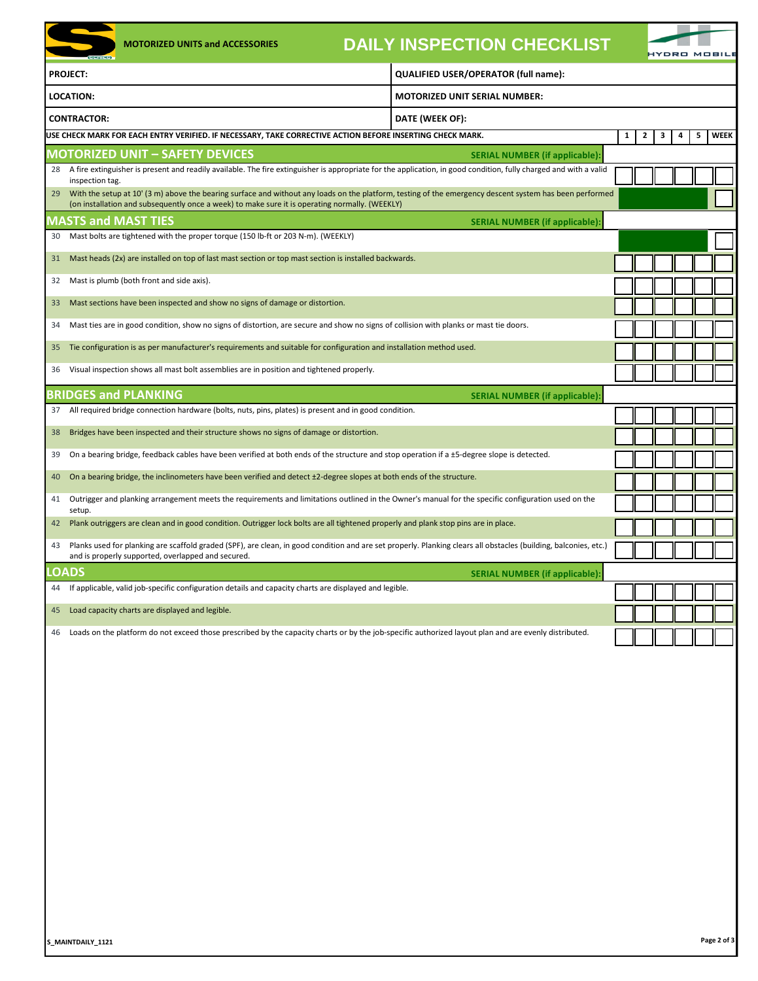|  | <b>DAILY INSPECTION CHECKLIST</b> |  |
|--|-----------------------------------|--|
|  |                                   |  |
|  |                                   |  |

|    | <b>SERIES</b>      | <b>MOTORIZED UNITS and ACCESSORIES</b>                                                                                                                                                                                                                    | <b>DAILY INSPECTION CHECKLIST</b>    |                                       |   |   | YDRO MOBILE |   |   |             |
|----|--------------------|-----------------------------------------------------------------------------------------------------------------------------------------------------------------------------------------------------------------------------------------------------------|--------------------------------------|---------------------------------------|---|---|-------------|---|---|-------------|
|    | <b>PROJECT:</b>    |                                                                                                                                                                                                                                                           | QUALIFIED USER/OPERATOR (full name): |                                       |   |   |             |   |   |             |
|    | <b>LOCATION:</b>   |                                                                                                                                                                                                                                                           | <b>MOTORIZED UNIT SERIAL NUMBER:</b> |                                       |   |   |             |   |   |             |
|    | <b>CONTRACTOR:</b> |                                                                                                                                                                                                                                                           | DATE (WEEK OF):                      |                                       |   |   |             |   |   |             |
|    |                    | USE CHECK MARK FOR EACH ENTRY VERIFIED. IF NECESSARY, TAKE CORRECTIVE ACTION BEFORE INSERTING CHECK MARK.                                                                                                                                                 |                                      |                                       | 1 | 2 | з           | 4 | 5 | <b>WEEK</b> |
|    |                    | <b>MOTORIZED UNIT - SAFETY DEVICES</b>                                                                                                                                                                                                                    |                                      | <b>SERIAL NUMBER (if applicable):</b> |   |   |             |   |   |             |
|    | inspection tag.    | 28 A fire extinguisher is present and readily available. The fire extinguisher is appropriate for the application, in good condition, fully charged and with a valid                                                                                      |                                      |                                       |   |   |             |   |   |             |
| 29 |                    | With the setup at 10' (3 m) above the bearing surface and without any loads on the platform, testing of the emergency descent system has been performed<br>(on installation and subsequently once a week) to make sure it is operating normally. (WEEKLY) |                                      |                                       |   |   |             |   |   |             |
|    |                    | <b>MASTS and MAST TIES</b>                                                                                                                                                                                                                                |                                      | <b>SERIAL NUMBER (if applicable):</b> |   |   |             |   |   |             |
| 30 |                    | Mast bolts are tightened with the proper torque (150 lb-ft or 203 N-m). (WEEKLY)                                                                                                                                                                          |                                      |                                       |   |   |             |   |   |             |
| 31 |                    | Mast heads (2x) are installed on top of last mast section or top mast section is installed backwards.                                                                                                                                                     |                                      |                                       |   |   |             |   |   |             |
| 32 |                    | Mast is plumb (both front and side axis).                                                                                                                                                                                                                 |                                      |                                       |   |   |             |   |   |             |
| 33 |                    | Mast sections have been inspected and show no signs of damage or distortion.                                                                                                                                                                              |                                      |                                       |   |   |             |   |   |             |
| 34 |                    | Mast ties are in good condition, show no signs of distortion, are secure and show no signs of collision with planks or mast tie doors.                                                                                                                    |                                      |                                       |   |   |             |   |   |             |
| 35 |                    | Tie configuration is as per manufacturer's requirements and suitable for configuration and installation method used.                                                                                                                                      |                                      |                                       |   |   |             |   |   |             |
| 36 |                    | Visual inspection shows all mast bolt assemblies are in position and tightened properly.                                                                                                                                                                  |                                      |                                       |   |   |             |   |   |             |
|    |                    | <b>BRIDGES and PLANKING</b>                                                                                                                                                                                                                               |                                      | <b>SERIAL NUMBER (if applicable):</b> |   |   |             |   |   |             |
| 37 |                    | All required bridge connection hardware (bolts, nuts, pins, plates) is present and in good condition.                                                                                                                                                     |                                      |                                       |   |   |             |   |   |             |
| 38 |                    | Bridges have been inspected and their structure shows no signs of damage or distortion.                                                                                                                                                                   |                                      |                                       |   |   |             |   |   |             |
| 39 |                    | On a bearing bridge, feedback cables have been verified at both ends of the structure and stop operation if a ±5-degree slope is detected.                                                                                                                |                                      |                                       |   |   |             |   |   |             |
| 40 |                    | On a bearing bridge, the inclinometers have been verified and detect ±2-degree slopes at both ends of the structure.                                                                                                                                      |                                      |                                       |   |   |             |   |   |             |
| 41 | setup.             | Outrigger and planking arrangement meets the requirements and limitations outlined in the Owner's manual for the specific configuration used on the                                                                                                       |                                      |                                       |   |   |             |   |   |             |
| 42 |                    | Plank outriggers are clean and in good condition. Outrigger lock bolts are all tightened properly and plank stop pins are in place.                                                                                                                       |                                      |                                       |   |   |             |   |   |             |
| 43 |                    | Planks used for planking are scaffold graded (SPF), are clean, in good condition and are set properly. Planking clears all obstacles (building, balconies, etc.)<br>and is properly supported, overlapped and secured.                                    |                                      |                                       |   |   |             |   |   |             |
|    | .OADS              |                                                                                                                                                                                                                                                           |                                      | <b>SERIAL NUMBER (if applicable):</b> |   |   |             |   |   |             |
|    |                    | 44 If applicable, valid job-specific configuration details and capacity charts are displayed and legible.                                                                                                                                                 |                                      |                                       |   |   |             |   |   |             |
| 45 |                    | Load capacity charts are displayed and legible.                                                                                                                                                                                                           |                                      |                                       |   |   |             |   |   |             |
| 46 |                    | Loads on the platform do not exceed those prescribed by the capacity charts or by the job-specific authorized layout plan and are evenly distributed.                                                                                                     |                                      |                                       |   |   |             |   |   |             |
|    |                    |                                                                                                                                                                                                                                                           |                                      |                                       |   |   |             |   |   |             |
|    |                    |                                                                                                                                                                                                                                                           |                                      |                                       |   |   |             |   |   |             |
|    |                    |                                                                                                                                                                                                                                                           |                                      |                                       |   |   |             |   |   |             |
|    |                    |                                                                                                                                                                                                                                                           |                                      |                                       |   |   |             |   |   |             |
|    |                    |                                                                                                                                                                                                                                                           |                                      |                                       |   |   |             |   |   |             |
|    |                    |                                                                                                                                                                                                                                                           |                                      |                                       |   |   |             |   |   |             |
|    |                    |                                                                                                                                                                                                                                                           |                                      |                                       |   |   |             |   |   |             |
|    |                    |                                                                                                                                                                                                                                                           |                                      |                                       |   |   |             |   |   |             |
|    |                    |                                                                                                                                                                                                                                                           |                                      |                                       |   |   |             |   |   |             |
|    |                    |                                                                                                                                                                                                                                                           |                                      |                                       |   |   |             |   |   |             |

 $\overline{\phantom{0}}$